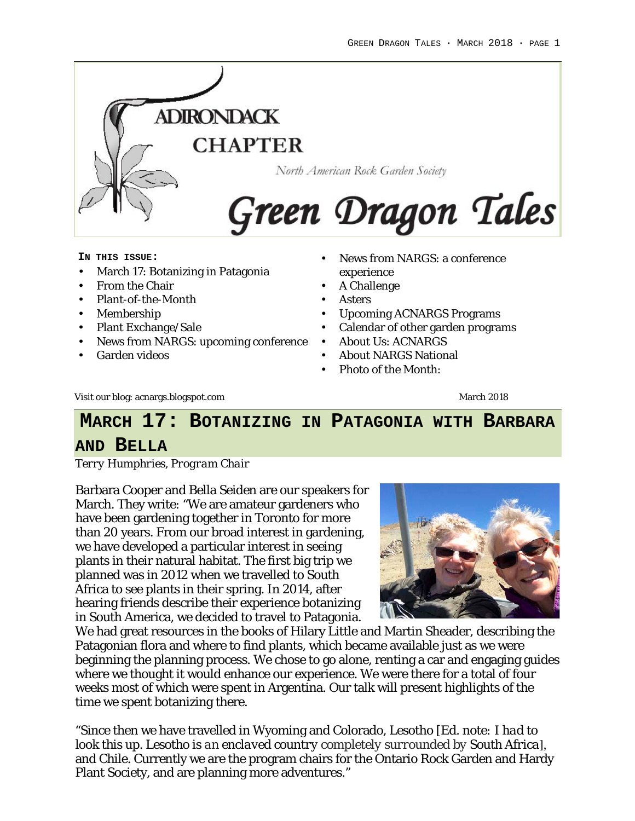

#### **IN THIS ISSUE:**

- March 17: Botanizing in Patagonia
- From the Chair
- Plant-of-the-Month
- Membership
- Plant Exchange/Sale
- News from NARGS: upcoming conference
- Garden videos
- News from NARGS: a conference experience
- A Challenge
- **Asters**
- Upcoming ACNARGS Programs
- Calendar of other garden programs
- About Us: ACNARGS
- About NARGS National
- Photo of the Month:

Visit our blog: acnargs.blogspot.com March 2018

# **MARCH 17: BOTANIZING IN PATAGONIA WITH BARBARA**

#### **AND BELLA**

*Terry Humphries, Program Chair*

Barbara Cooper and Bella Seiden are our speakers for March. They write: "We are amateur gardeners who have been gardening together in Toronto for more than 20 years. From our broad interest in gardening, we have developed a particular interest in seeing plants in their natural habitat. The first big trip we planned was in 2012 when we travelled to South Africa to see plants in their spring. In 2014, after hearing friends describe their experience botanizing in South America, we decided to travel to Patagonia.



We had great resources in the books of Hilary Little and Martin Sheader, describing the Patagonian flora and where to find plants, which became available just as we were beginning the planning process. We chose to go alone, renting a car and engaging guides where we thought it would enhance our experience. We were there for a total of four weeks most of which were spent in Argentina. Our talk will present highlights of the time we spent botanizing there.

"Since then we have travelled in Wyoming and Colorado, Lesotho *[Ed. note: I had to look this up. Lesotho is an enclaved country completely surrounded by South Africa*], and Chile. Currently we are the program chairs for the Ontario Rock Garden and Hardy Plant Society, and are planning more adventures."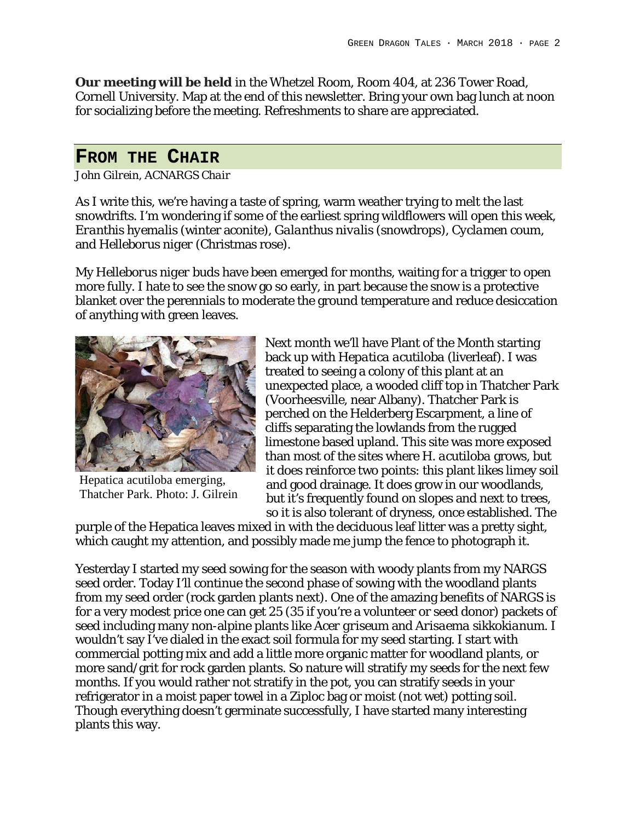**Our meeting will be held** in the Whetzel Room, Room 404, at 236 Tower Road, Cornell University. Map at the end of this newsletter. Bring your own bag lunch at noon for socializing before the meeting. Refreshments to share are appreciated.

#### **FROM THE CHAIR**

*John Gilrein, ACNARGS Chair*

As I write this, we're having a taste of spring, warm weather trying to melt the last snowdrifts. I'm wondering if some of the earliest spring wildflowers will open this week, *Eranthis hyemalis* (winter aconite), *Galanthus nivalis* (snowdrops), *Cyclamen coum*, and *Helleborus niger* (Christmas rose).

My *Helleborus niger* buds have been emerged for months, waiting for a trigger to open more fully. I hate to see the snow go so early, in part because the snow is a protective blanket over the perennials to moderate the ground temperature and reduce desiccation of anything with green leaves.



Hepatica acutiloba emerging, Thatcher Park. Photo: J. Gilrein

Next month we'll have Plant of the Month starting back up with *Hepatica acutiloba* (liverleaf). I was treated to seeing a colony of this plant at an unexpected place, a wooded cliff top in Thatcher Park (Voorheesville, near Albany). Thatcher Park is perched on the Helderberg Escarpment, a line of cliffs separating the lowlands from the rugged limestone based upland. This site was more exposed than most of the sites where *H. acutiloba* grows, but it does reinforce two points: this plant likes limey soil and good drainage. It does grow in our woodlands, but it's frequently found on slopes and next to trees, so it is also tolerant of dryness, once established. The

purple of the Hepatica leaves mixed in with the deciduous leaf litter was a pretty sight, which caught my attention, and possibly made me jump the fence to photograph it.

Yesterday I started my seed sowing for the season with woody plants from my NARGS seed order. Today I'll continue the second phase of sowing with the woodland plants from my seed order (rock garden plants next). One of the amazing benefits of NARGS is for a very modest price one can get 25 (35 if you're a volunteer or seed donor) packets of seed including many non-alpine plants like *Acer griseum* and *Arisaema sikkokianum*. I wouldn't say I've dialed in the exact soil formula for my seed starting. I start with commercial potting mix and add a little more organic matter for woodland plants, or more sand/grit for rock garden plants. So nature will stratify my seeds for the next few months. If you would rather not stratify in the pot, you can stratify seeds in your refrigerator in a moist paper towel in a Ziploc bag or moist (not wet) potting soil. Though everything doesn't germinate successfully, I have started many interesting plants this way.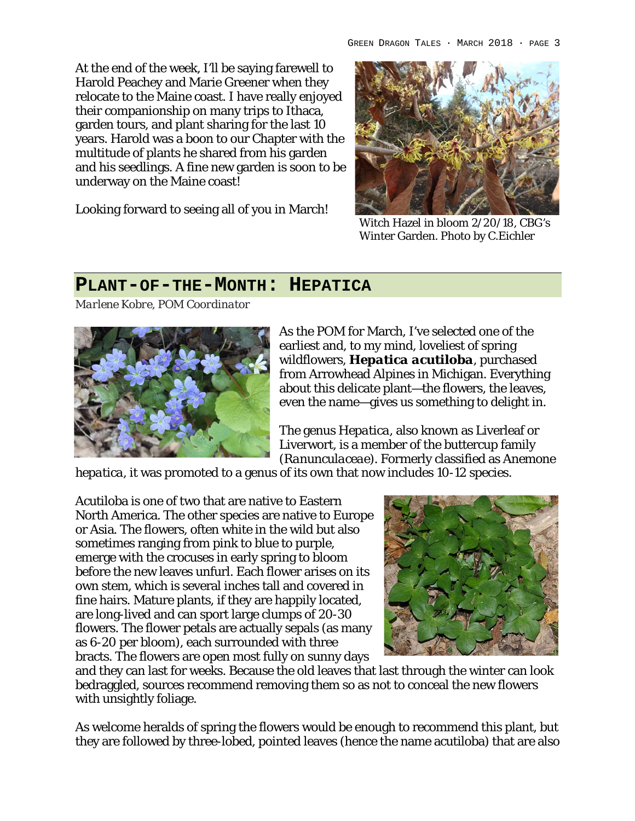At the end of the week, I'll be saying farewell to Harold Peachey and Marie Greener when they relocate to the Maine coast. I have really enjoyed their companionship on many trips to Ithaca, garden tours, and plant sharing for the last 10 years. Harold was a boon to our Chapter with the multitude of plants he shared from his garden and his seedlings. A fine new garden is soon to be underway on the Maine coast!

Looking forward to seeing all of you in March!



Witch Hazel in bloom 2/20/18, CBG's Winter Garden. Photo by C.Eichler

#### **PLANT-OF-THE-MONTH: HEPATICA**

*Marlene Kobre, POM Coordinator*



As the POM for March, I've selected one of the earliest and, to my mind, loveliest of spring wildflowers, *Hepatica acutiloba*, purchased from Arrowhead Alpines in Michigan. Everything about this delicate plant—the flowers, the leaves, even the name—gives us something to delight in.

The genus *Hepatica*, also known as Liverleaf or Liverwort, is a member of the buttercup family (*Ranunculaceae*). Formerly classified as *Anemone* 

*hepatica*, it was promoted to a genus of its own that now includes 10-12 species.

Acutiloba is one of two that are native to Eastern North America. The other species are native to Europe or Asia. The flowers, often white in the wild but also sometimes ranging from pink to blue to purple, emerge with the crocuses in early spring to bloom before the new leaves unfurl. Each flower arises on its own stem, which is several inches tall and covered in fine hairs. Mature plants, if they are happily located, are long-lived and can sport large clumps of 20-30 flowers. The flower petals are actually sepals (as many as 6-20 per bloom), each surrounded with three bracts. The flowers are open most fully on sunny days



and they can last for weeks. Because the old leaves that last through the winter can look bedraggled, sources recommend removing them so as not to conceal the new flowers with unsightly foliage.

As welcome heralds of spring the flowers would be enough to recommend this plant, but they are followed by three-lobed, pointed leaves (hence the name acutiloba) that are also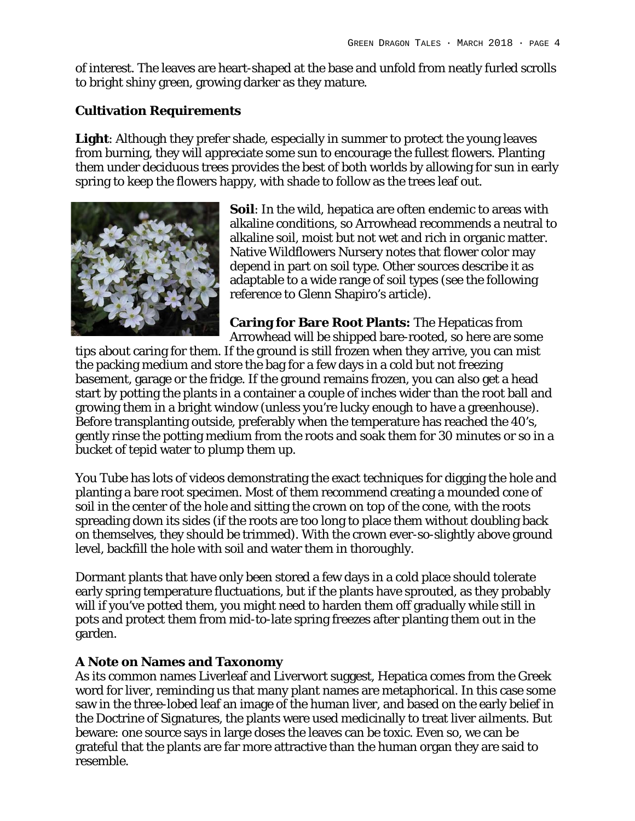of interest. The leaves are heart-shaped at the base and unfold from neatly furled scrolls to bright shiny green, growing darker as they mature.

#### **Cultivation Requirements**

**Light**: Although they prefer shade, especially in summer to protect the young leaves from burning, they will appreciate some sun to encourage the fullest flowers. Planting them under deciduous trees provides the best of both worlds by allowing for sun in early spring to keep the flowers happy, with shade to follow as the trees leaf out.



**Soil**: In the wild, hepatica are often endemic to areas with alkaline conditions, so Arrowhead recommends a neutral to alkaline soil, moist but not wet and rich in organic matter. Native Wildflowers Nursery notes that flower color may depend in part on soil type. Other sources describe it as adaptable to a wide range of soil types (see the following reference to Glenn Shapiro's article).

**Caring for Bare Root Plants:** The Hepaticas from Arrowhead will be shipped bare-rooted, so here are some

tips about caring for them. If the ground is still frozen when they arrive, you can mist the packing medium and store the bag for a few days in a cold but not freezing basement, garage or the fridge. If the ground remains frozen, you can also get a head start by potting the plants in a container a couple of inches wider than the root ball and growing them in a bright window (unless you're lucky enough to have a greenhouse). Before transplanting outside, preferably when the temperature has reached the 40's, gently rinse the potting medium from the roots and soak them for 30 minutes or so in a bucket of tepid water to plump them up.

You Tube has lots of videos demonstrating the exact techniques for digging the hole and planting a bare root specimen. Most of them recommend creating a mounded cone of soil in the center of the hole and sitting the crown on top of the cone, with the roots spreading down its sides (if the roots are too long to place them without doubling back on themselves, they should be trimmed). With the crown ever-so-slightly above ground level, backfill the hole with soil and water them in thoroughly.

Dormant plants that have only been stored a few days in a cold place should tolerate early spring temperature fluctuations, but if the plants have sprouted, as they probably will if you've potted them, you might need to harden them off gradually while still in pots and protect them from mid-to-late spring freezes after planting them out in the garden.

#### **A Note on Names and Taxonomy**

As its common names Liverleaf and Liverwort suggest, Hepatica comes from the Greek word for liver, reminding us that many plant names are metaphorical. In this case some saw in the three-lobed leaf an image of the human liver, and based on the early belief in the Doctrine of Signatures, the plants were used medicinally to treat liver ailments. But beware: one source says in large doses the leaves can be toxic. Even so, we can be grateful that the plants are far more attractive than the human organ they are said to resemble.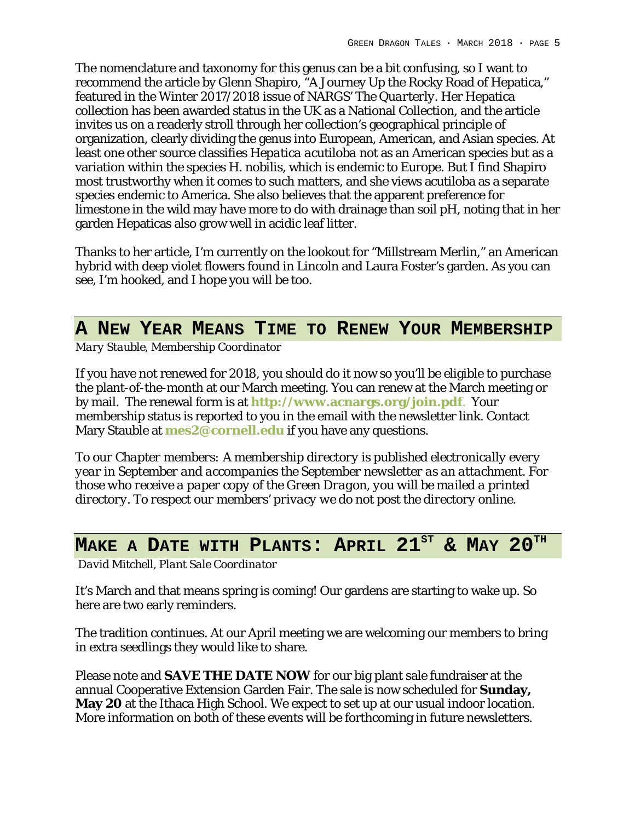The nomenclature and taxonomy for this genus can be a bit confusing, so I want to recommend the article by Glenn Shapiro, "A Journey Up the Rocky Road of Hepatica," featured in the Winter 2017/2018 issue of NARGS' *The Quarterly*. Her Hepatica collection has been awarded status in the UK as a National Collection, and the article invites us on a readerly stroll through her collection's geographical principle of organization, clearly dividing the genus into European, American, and Asian species. At least one other source classifies *Hepatica acutiloba* not as an American species but as a variation within the species *H. nobilis*, which is endemic to Europe. But I find Shapiro most trustworthy when it comes to such matters, and she views acutiloba as a separate species endemic to America. She also believes that the apparent preference for limestone in the wild may have more to do with drainage than soil pH, noting that in her garden Hepaticas also grow well in acidic leaf litter.

Thanks to her article, I'm currently on the lookout for "Millstream Merlin," an American hybrid with deep violet flowers found in Lincoln and Laura Foster's garden. As you can see, I'm hooked, and I hope you will be too.

## **A NEW YEAR MEANS TIME TO RENEW YOUR MEMBERSHIP**

*Mary Stauble, Membership Coordinator*

If you have not renewed for 2018, you should do it now so you'll be eligible to purchase the plant-of-the-month at our March meeting. You can renew at the March meeting or by mail. The renewal form is at **http://www.acnargs.org/join.pdf**. Your membership status is reported to you in the email with the newsletter link. Contact Mary Stauble at **mes2@cornell.edu** if you have any questions.

*To our Chapter members: A membership directory is published electronically every year in September and accompanies the September newsletter as an attachment. For those who receive a paper copy of the Green Dragon, you will be mailed a printed directory. To respect our members' privacy we do not post the directory online.*

# **MAKE A DATE WITH PLANTS: APRIL 21<sup>ST</sup> & MAY 20<sup>TH</sup>**

*David Mitchell, Plant Sale Coordinator*

It's March and that means spring is coming! Our gardens are starting to wake up. So here are two early reminders.

The tradition continues. At our April meeting we are welcoming our members to bring in extra seedlings they would like to share.

Please note and **SAVE THE DATE NOW** for our big plant sale fundraiser at the annual Cooperative Extension Garden Fair. The sale is now scheduled for **Sunday, May 20** at the Ithaca High School. We expect to set up at our usual indoor location. More information on both of these events will be forthcoming in future newsletters.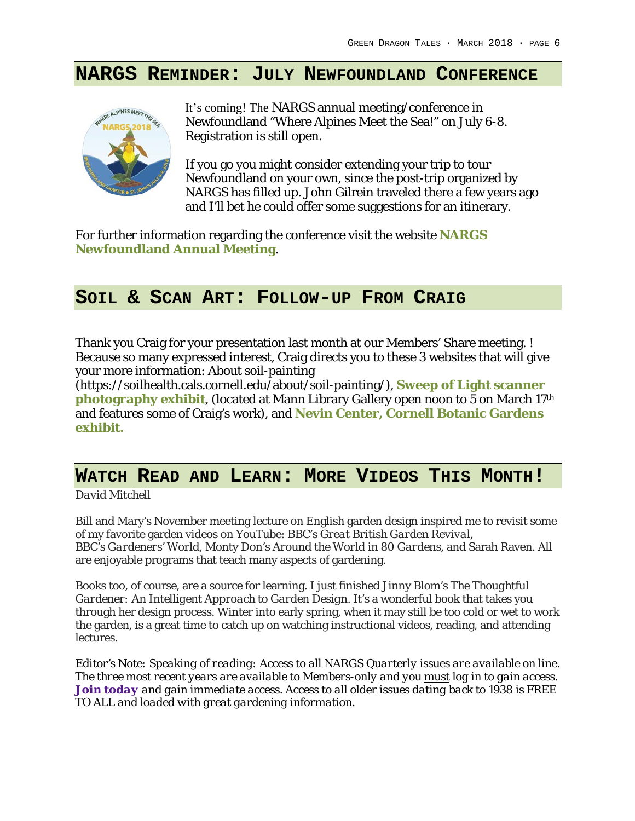#### **NARGS REMINDER: JULY NEWFOUNDLAND CONFERENCE**



It's coming! The NARGS annual meeting/conference in Newfoundland "Where Alpines Meet the Sea!" on July 6-8. Registration is still open.

If you go you might consider extending your trip to tour Newfoundland on your own, since the post-trip organized by NARGS has filled up. John Gilrein traveled there a few years ago and I'll bet he could offer some suggestions for an itinerary.

For further information regarding the conference visit the website **NARGS Newfoundland Annual Meeting**.

#### **SOIL & SCAN ART: FOLLOW-UP FROM CRAIG**

Thank you Craig for your presentation last month at our Members' Share meeting. ! Because so many expressed interest, Craig directs you to these 3 websites that will give your more information: About soil-painting

(https://soilhealth.cals.cornell.edu/about/soil-painting/), **Sweep of Light scanner photography exhibit**, (located at Mann Library Gallery open noon to 5 on March 17th and features some of Craig's work), and **Nevin Center, Cornell Botanic Gardens exhibit.**

#### **WATCH READ AND LEARN: MORE VIDEOS THIS MONTH!**

*David Mitchell*

Bill and Mary's November meeting lecture on English garden design inspired me to revisit some of my favorite garden videos on YouTube: BBC's *Great British Garden Revival*, BBC's *Gardeners' World*, Monty Don's *Around the World in 80 Gardens*, and Sarah Raven. All are enjoyable programs that teach many aspects of gardening.

Books too, of course, are a source for learning. I just finished Jinny Blom's *The Thoughtful Gardener: An Intelligent Approach to Garden Design*. It's a wonderful book that takes you through her design process. Winter into early spring, when it may still be too cold or wet to work the garden, is a great time to catch up on watching instructional videos, reading, and attending lectures.

*Editor's Note: Speaking of reading: Access to all NARGS Quarterly issues are available on line. The three most recent years are available to Members-only and you must log in to gain access. Join today and gain immediate access. Access to all older issues dating back to 1938 is FREE TO ALL and loaded with great gardening information.*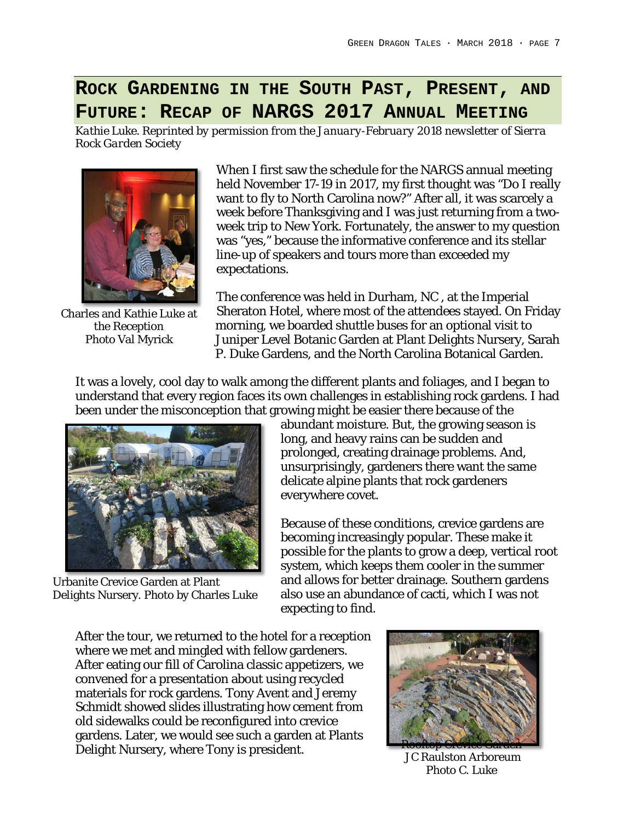## **ROCK GARDENING IN THE SOUTH PAST, PRESENT, AND FUTURE: RECAP OF NARGS 2017 ANNUAL MEETING**

*Kathie Luke. Reprinted by permission from the January-February 2018 newsletter of Sierra Rock Garden Society*



Charles and Kathie Luke at the Reception Photo Val Myrick

When I first saw the schedule for the NARGS annual meeting held November 17-19 in 2017, my first thought was "Do I really want to fly to North Carolina now?" After all, it was scarcely a week before Thanksgiving and I was just returning from a twoweek trip to New York. Fortunately, the answer to my question was "yes," because the informative conference and its stellar line-up of speakers and tours more than exceeded my expectations.

The conference was held in Durham, NC , at the Imperial Sheraton Hotel, where most of the attendees stayed. On Friday morning, we boarded shuttle buses for an optional visit to Juniper Level Botanic Garden at Plant Delights Nursery, Sarah P. Duke Gardens, and the North Carolina Botanical Garden.

It was a lovely, cool day to walk among the different plants and foliages, and I began to understand that every region faces its own challenges in establishing rock gardens. I had been under the misconception that growing might be easier there because of the



Urbanite Crevice Garden at Plant Delights Nursery. Photo by Charles Luke

abundant moisture. But, the growing season is long, and heavy rains can be sudden and prolonged, creating drainage problems. And, unsurprisingly, gardeners there want the same delicate alpine plants that rock gardeners everywhere covet.

Because of these conditions, crevice gardens are becoming increasingly popular. These make it possible for the plants to grow a deep, vertical root system, which keeps them cooler in the summer and allows for better drainage. Southern gardens also use an abundance of cacti, which I was not expecting to find.

After the tour, we returned to the hotel for a reception where we met and mingled with fellow gardeners. After eating our fill of Carolina classic appetizers, we convened for a presentation about using recycled materials for rock gardens. Tony Avent and Jeremy Schmidt showed slides illustrating how cement from old sidewalks could be reconfigured into crevice gardens. Later, we would see such a garden at Plants Delight Nursery, where Tony is president.



JC Raulston Arboreum Photo C. Luke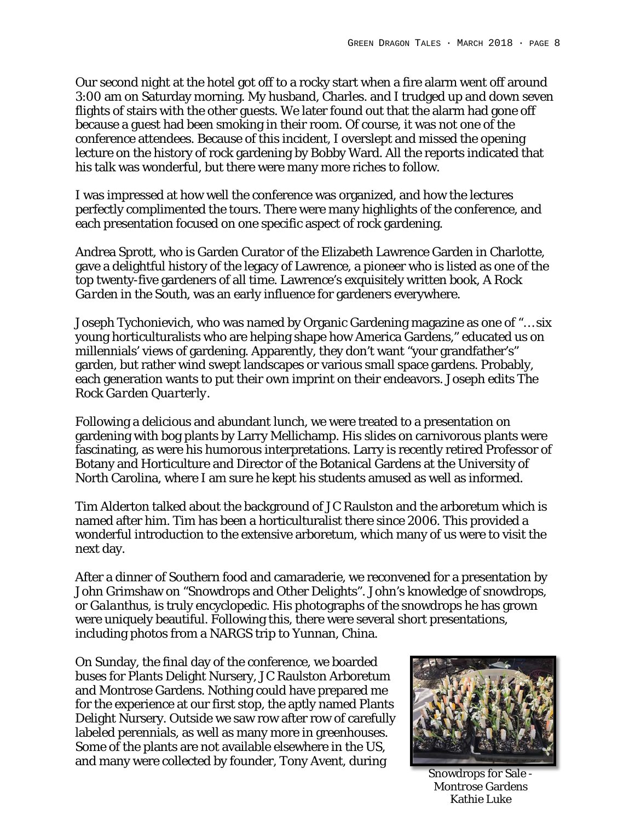Our second night at the hotel got off to a rocky start when a fire alarm went off around 3:00 am on Saturday morning. My husband, Charles. and I trudged up and down seven flights of stairs with the other guests. We later found out that the alarm had gone off because a guest had been smoking in their room. Of course, it was *not* one of the conference attendees. Because of this incident, I overslept and missed the opening lecture on the history of rock gardening by Bobby Ward. All the reports indicated that his talk was wonderful, but there were many more riches to follow.

I was impressed at how well the conference was organized, and how the lectures perfectly complimented the tours. There were many highlights of the conference, and each presentation focused on one specific aspect of rock gardening.

Andrea Sprott, who is Garden Curator of the Elizabeth Lawrence Garden in Charlotte, gave a delightful history of the legacy of Lawrence, a pioneer who is listed as one of the top twenty-five gardeners of all time. Lawrence's exquisitely written book, *A Rock Garden in the South*, was an early influence for gardeners everywhere.

Joseph Tychonievich, who was named by Organic Gardening magazine as one of "… six young horticulturalists who are helping shape how America Gardens," educated us on millennials' views of gardening. Apparently, they don't want "your grandfather's" garden, but rather wind swept landscapes or various small space gardens. Probably, each generation wants to put their own imprint on their endeavors. Joseph edits *The Rock Garden Quarterly.*

Following a delicious and abundant lunch, we were treated to a presentation on gardening with bog plants by Larry Mellichamp. His slides on carnivorous plants were fascinating, as were his humorous interpretations. Larry is recently retired Professor of Botany and Horticulture and Director of the Botanical Gardens at the University of North Carolina, where I am sure he kept his students amused as well as informed.

Tim Alderton talked about the background of JC Raulston and the arboretum which is named after him. Tim has been a horticulturalist there since 2006. This provided a wonderful introduction to the extensive arboretum, which many of us were to visit the next day.

After a dinner of Southern food and camaraderie, we reconvened for a presentation by John Grimshaw on "Snowdrops and Other Delights". John's knowledge of snowdrops, or *Galanthus*, is truly encyclopedic. His photographs of the snowdrops he has grown were uniquely beautiful. Following this, there were several short presentations, including photos from a NARGS trip to Yunnan, China.

On Sunday, the final day of the conference, we boarded buses for Plants Delight Nursery, JC Raulston Arboretum and Montrose Gardens. Nothing could have prepared me for the experience at our first stop, the aptly named Plants Delight Nursery. Outside we saw row after row of carefully labeled perennials, as well as many more in greenhouses. Some of the plants are not available elsewhere in the US, and many were collected by founder, Tony Avent, during



Snowdrops for Sale - Montrose Gardens Kathie Luke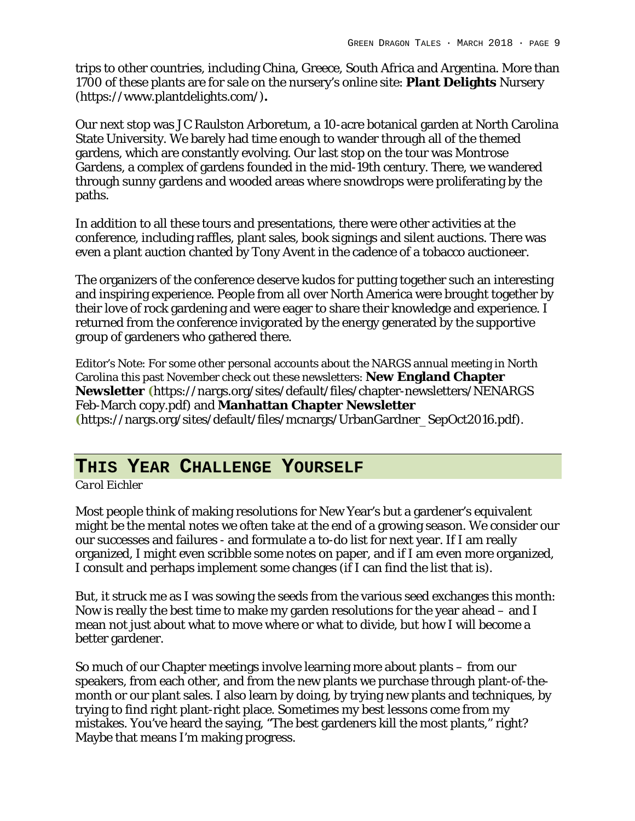trips to other countries, including China, Greece, South Africa and Argentina. More than 1700 of these plants are for sale on the nursery's online site: **Plant Delights** Nursery (https://www.plantdelights.com/)**.**

Our next stop was JC Raulston Arboretum, a 10-acre botanical garden at North Carolina State University. We barely had time enough to wander through all of the themed gardens, which are constantly evolving. Our last stop on the tour was Montrose Gardens, a complex of gardens founded in the mid-19th century. There, we wandered through sunny gardens and wooded areas where snowdrops were proliferating by the paths.

In addition to all these tours and presentations, there were other activities at the conference, including raffles, plant sales, book signings and silent auctions. There was even a plant auction chanted by Tony Avent in the cadence of a tobacco auctioneer.

The organizers of the conference deserve kudos for putting together such an interesting and inspiring experience. People from all over North America were brought together by their love of rock gardening and were eager to share their knowledge and experience. I returned from the conference invigorated by the energy generated by the supportive group of gardeners who gathered there.

Editor's Note: For some other personal accounts about the NARGS annual meeting in North Carolina this past November check out these newsletters: **New England Chapter Newsletter (**https://nargs.org/sites/default/files/chapter-newsletters/NENARGS Feb-March copy.pdf) and **Manhattan Chapter Newsletter (**https://nargs.org/sites/default/files/mcnargs/UrbanGardner\_SepOct2016.pdf).

## **THIS YEAR CHALLENGE YOURSELF**

*Carol Eichler*

Most people think of making resolutions for New Year's but a gardener's equivalent might be the mental notes we often take at the end of a growing season. We consider our our successes and failures - and formulate a to-do list for next year. If I am really organized, I might even scribble some notes on paper, and if I am even more organized, I consult and perhaps implement some changes (if I can find the list that is).

But, it struck me as I was sowing the seeds from the various seed exchanges this month: Now is really the best time to make my garden resolutions for the year ahead – and I mean not just about what to move where or what to divide, but how I will become a better gardener.

So much of our Chapter meetings involve learning more about plants – from our speakers, from each other, and from the new plants we purchase through plant-of-themonth or our plant sales. I also learn by doing, by trying new plants and techniques, by trying to find right plant-right place. Sometimes my best lessons come from my mistakes. You've heard the saying, "The best gardeners kill the most plants," right? Maybe that means I'm making progress.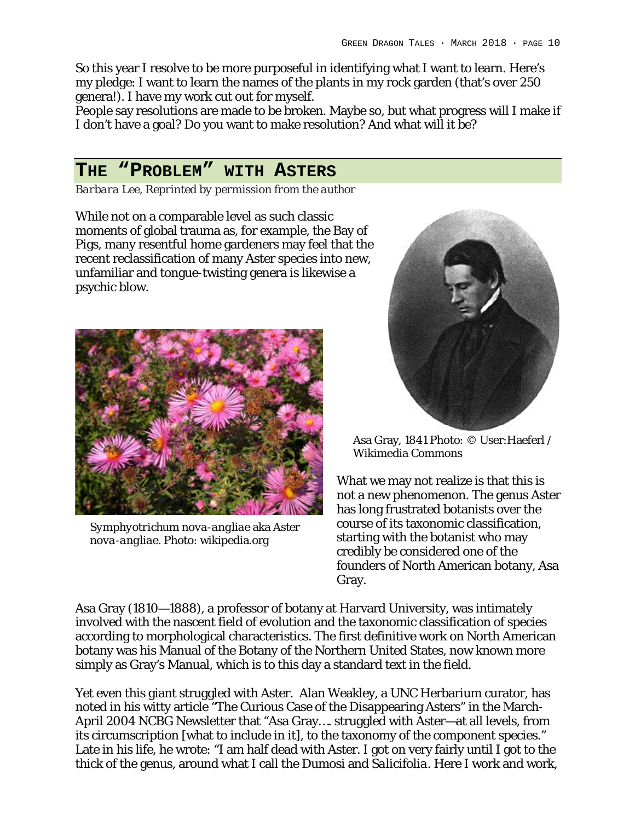So this year I resolve to be more purposeful in identifying what I want to learn. Here's my pledge: I want to learn the names of the plants in my rock garden (that's over 250 genera!). I have my work cut out for myself.

People say resolutions are made to be broken. Maybe so, but what progress will I make if I don't have a goal? Do you want to make resolution? And what will it be?

#### **THE "PROBLEM" WITH ASTERS**

*Barbara Lee, Reprinted by permission from the author*

While not on a comparable level as such classic moments of global trauma as, for example, the Bay of Pigs, many resentful home gardeners may feel that the recent reclassification of many Aster species into new, unfamiliar and tongue-twisting genera is likewise a psychic blow.



*Symphyotrichum nova-angliae* aka *Aster nova-angliae.* Photo: wikipedia.org



Asa Gray, 1841 Photo: © User:Haeferl / Wikimedia Commons

What we may not realize is that this is not a new phenomenon. The genus Aster has long frustrated botanists over the course of its taxonomic classification, starting with the botanist who may credibly be considered one of the founders of North American botany, Asa Gray.

Asa Gray (1810—1888), a professor of botany at Harvard University, was intimately involved with the nascent field of evolution and the taxonomic classification of species according to morphological characteristics. The first definitive work on North American botany was his Manual of the Botany of the Northern United States, now known more simply as Gray's Manual, which is to this day a standard text in the field.

Yet even this giant struggled with Aster. Alan Weakley, a UNC Herbarium curator, has noted in his witty article "The Curious Case of the Disappearing Asters" in the March-April 2004 NCBG Newsletter that "Asa Gray…. struggled with Aster—at all levels, from its circumscription [what to include in it], to the taxonomy of the component species." Late in his life, he wrote: "I am half dead with Aster. I got on very fairly until I got to the thick of the genus, around what I call the *Dumos*i and *Salicifolia.* Here I work and work,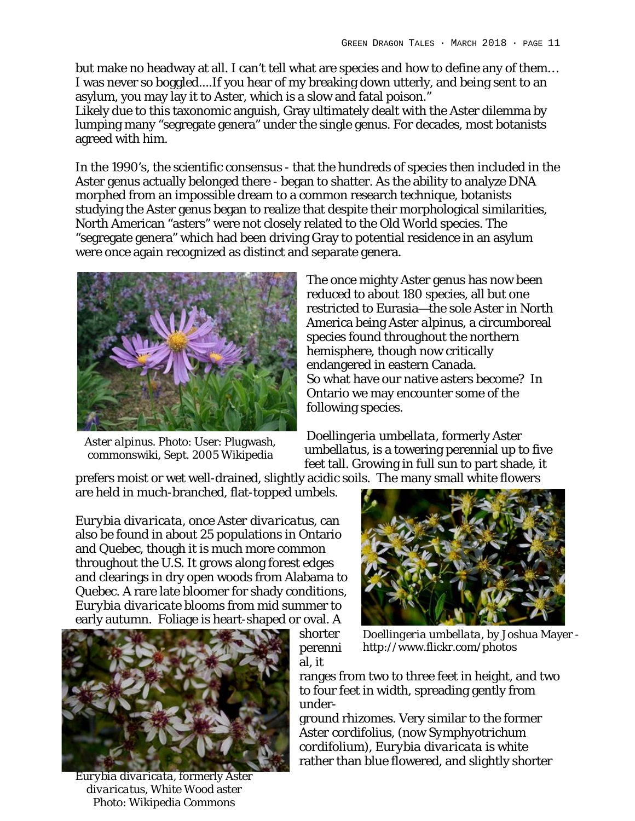but make no headway at all. I can't tell what are species and how to define any of them… I was never so boggled....If you hear of my breaking down utterly, and being sent to an asylum, you may lay it to Aster, which is a slow and fatal poison."

Likely due to this taxonomic anguish, Gray ultimately dealt with the Aster dilemma by lumping many "segregate genera" under the single genus. For decades, most botanists agreed with him.

In the 1990's, the scientific consensus - that the hundreds of species then included in the Aster genus actually belonged there - began to shatter. As the ability to analyze DNA morphed from an impossible dream to a common research technique, botanists studying the Aster genus began to realize that despite their morphological similarities, North American "asters" were not closely related to the Old World species. The "segregate genera" which had been driving Gray to potential residence in an asylum were once again recognized as distinct and separate genera.



*Aster alpinus.* Photo: User: Plugwash, commonswiki, Sept. 2005 Wikipedia

The once mighty Aster genus has now been reduced to about 180 species, all but one restricted to Eurasia—the sole Aster in North America being *Aster alpinus*, a circumboreal species found throughout the northern hemisphere, though now critically endangered in eastern Canada. So what have our native asters become? In Ontario we may encounter some of the following species.

*Doellingeria umbellata*, formerly *Aster umbellatus*, is a towering perennial up to five feet tall. Growing in full sun to part shade, it

prefers moist or wet well-drained, slightly acidic soils. The many small white flowers are held in much-branched, flat-topped umbels.

*Eurybia divaricata*, once *Aster divaricatus*, can also be found in about 25 populations in Ontario and Quebec, though it is much more common throughout the U.S. It grows along forest edges and clearings in dry open woods from Alabama to Quebec. A rare late bloomer for shady conditions, *Eurybia divaricate* blooms from mid summer to early autumn. Foliage is heart-shaped or oval. A



*Eurybia divaricata*, formerly *Aster divaricatus,* White Wood aster Photo: Wikipedia Commons



shorter perenni al, it

*Doellingeria umbellata*, by Joshua Mayer http://www.flickr.com/photos

ranges from two to three feet in height, and two to four feet in width, spreading gently from under-

ground rhizomes. Very similar to the former *Aster cordifolius*, (now *Symphyotrichum cordifolium*), *Eurybia divaricata* is white rather than blue flowered, and slightly shorter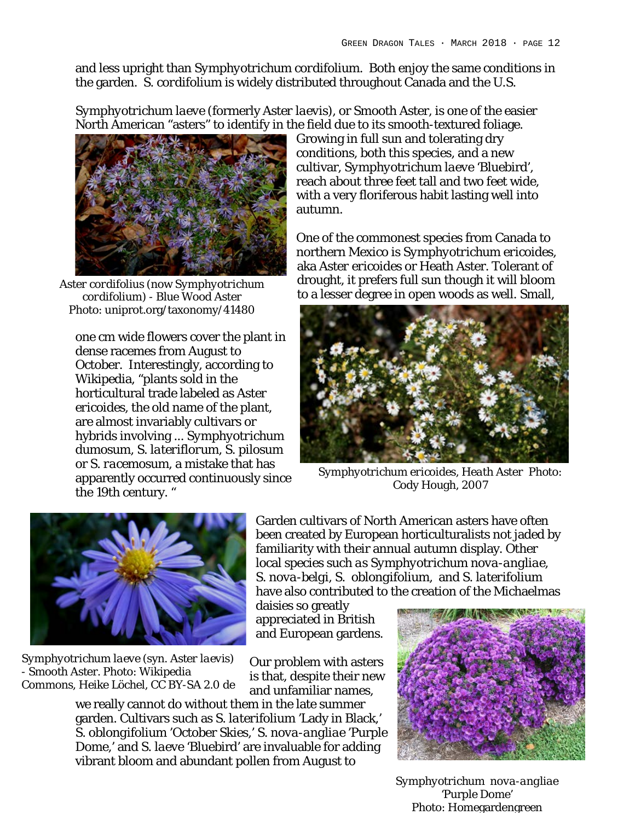and less upright than *Symphyotrichum cordifolium*. Both enjoy the same conditions in the garden. *S. cordifolium* is widely distributed throughout Canada and the U.S.

*Symphyotrichum laeve* (formerly *Aster laevis*), or Smooth Aster, is one of the easier North American "asters" to identify in the field due to its smooth-textured foliage.



*Aster cordifolius* (now *Symphyotrichum cordifolium*) - Blue Wood Aster Photo: uniprot.org/taxonomy/41480

one cm wide flowers cover the plant in dense racemes from August to October. Interestingly, according to Wikipedia, "plants sold in the horticultural trade labeled as *Aster ericoides*, the old name of the plant, are almost invariably cultivars or hybrids involving ... *Symphyotrichum dumosum, S. lateriflorum, S. pilosum* or *S. racemosum*, a mistake that has apparently occurred continuously since the 19th century. "

Growing in full sun and tolerating dry conditions, both this species, and a new cultivar, *Symphyotrichum laeve* 'Bluebird', reach about three feet tall and two feet wide, with a very floriferous habit lasting well into autumn.

One of the commonest species from Canada to northern Mexico is *Symphyotrichum ericoides*, aka *Aster ericoides* or Heath Aster. Tolerant of drought, it prefers full sun though it will bloom to a lesser degree in open woods as well. Small,



*Symphyotrichum ericoides*, *Heath Aster* Photo: Cody Hough, 2007



*Symphyotrichum laeve* (syn. *Aster laevis*) - Smooth Aster. Photo: Wikipedia Commons, Heike Löchel, CC BY-SA 2.0 de

Garden cultivars of North American asters have often been created by European horticulturalists not jaded by familiarity with their annual autumn display. Other local species such *as Symphyotrichum nova-angliae, S. nova-belgi, S. oblongifolium*, and *S. laterifolium* have also contributed to the creation of the Michaelmas

daisies so greatly appreciated in British and European gardens.

Our problem with asters is that, despite their new and unfamiliar names,

we really cannot do without them in the late summer garden. Cultivars such as *S. laterifolium* 'Lady in Black,' *S. oblongifolium* 'October Skies,' *S. nova-angliae* 'Purple Dome,' and *S. laeve* 'Bluebird' are invaluable for adding vibrant bloom and abundant pollen from August to



*Symphyotrichum nova-angliae* 'Purple Dome' Photo: Homegardengreen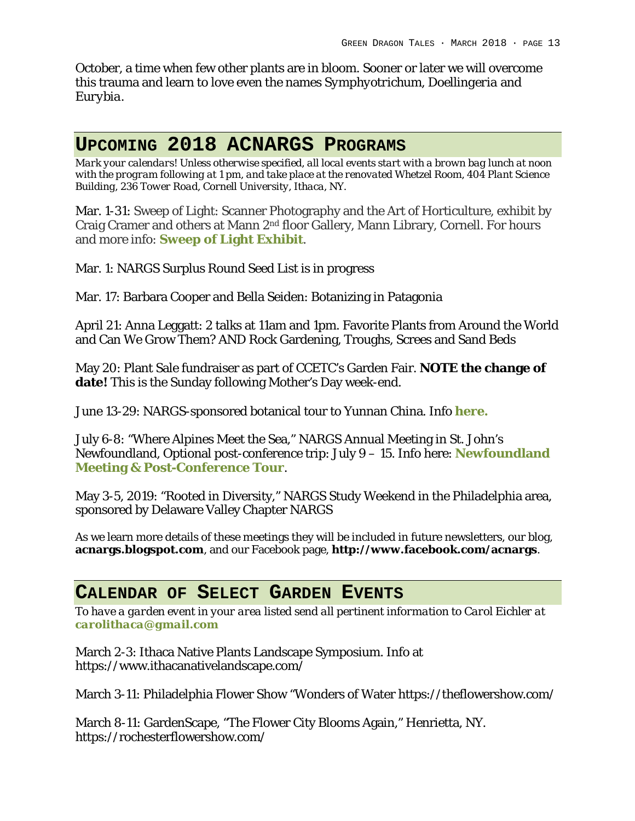October, a time when few other plants are in bloom. Sooner or later we will overcome this trauma and learn to love even the names *Symphyotrichum, Doellingeria* and *Eurybia*.

#### **UPCOMING 2018 ACNARGS PROGRAMS**

*Mark your calendars! Unless otherwise specified, all local events start with a brown bag lunch at noon with the program following at 1 pm, and take place at the renovated Whetzel Room, 404 Plant Science Building, 236 Tower Road, Cornell University, Ithaca, NY.*

Mar. 1-31: Sweep of Light: Scanner Photography and the Art of Horticulture, exhibit by Craig Cramer and others at Mann 2nd floor Gallery, Mann Library, Cornell. For hours and more info: **Sweep of Light Exhibit**.

Mar. 1: NARGS Surplus Round Seed List is in progress

Mar. 17: Barbara Cooper and Bella Seiden: Botanizing in Patagonia

April 21: Anna Leggatt: 2 talks at 11am and 1pm. Favorite Plants from Around the World and Can We Grow Them? AND Rock Gardening, Troughs, Screes and Sand Beds

May 20: Plant Sale fundraiser as part of CCETC's Garden Fair. **NOTE the change of date!** This is the Sunday following Mother's Day week-end.

June 13-29: NARGS-sponsored botanical tour to Yunnan China. Info **here.**

July 6-8: "Where Alpines Meet the Sea," NARGS Annual Meeting in St. John's Newfoundland, Optional post-conference trip: July 9 – 15. Info here: **Newfoundland Meeting & Post-Conference Tour**.

May 3-5, 2019: "Rooted in Diversity," NARGS Study Weekend in the Philadelphia area, sponsored by Delaware Valley Chapter NARGS

As we learn more details of these meetings they will be included in future newsletters, our blog, **acnargs.blogspot.com**, and our Facebook page, **http://www.facebook.com/acnargs**.

#### **CALENDAR OF SELECT GARDEN EVENTS**

*To have a garden event in your area listed send all pertinent information to Carol Eichler at carolithaca@gmail.com*

March 2-3: Ithaca Native Plants Landscape Symposium. Info at https://www.ithacanativelandscape.com/

March 3-11: Philadelphia Flower Show "Wonders of Water https://theflowershow.com/

March 8-11: GardenScape, "The Flower City Blooms Again," Henrietta, NY. https://rochesterflowershow.com/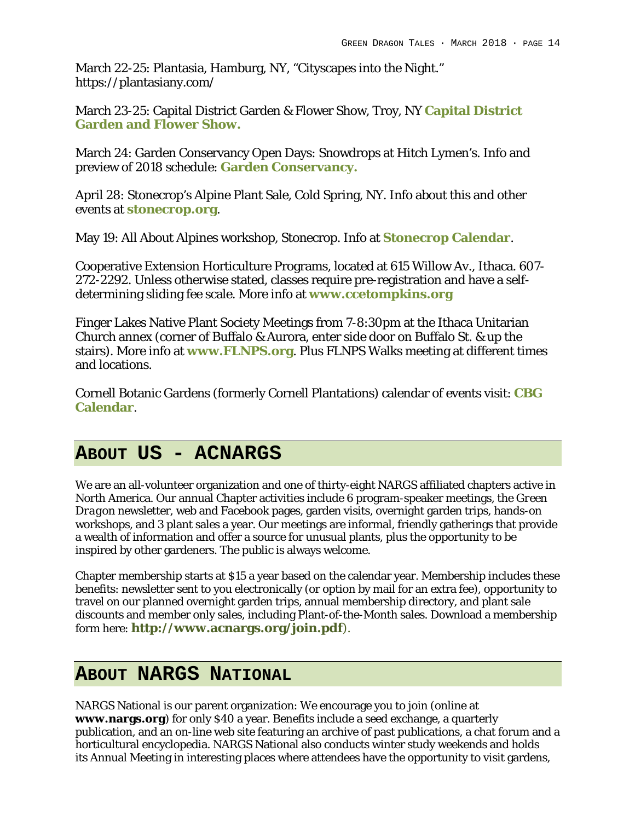March 22-25: Plantasia, Hamburg, NY, "Cityscapes into the Night." https://plantasiany.com/

March 23-25: Capital District Garden & Flower Show, Troy, NY **Capital District Garden and Flower Show.**

March 24: Garden Conservancy Open Days: Snowdrops at Hitch Lymen's. Info and preview of 2018 schedule: **Garden Conservancy.**

April 28: Stonecrop's Alpine Plant Sale, Cold Spring, NY. Info about this and other events at **stonecrop.org**.

May 19: All About Alpines workshop, Stonecrop. Info at **Stonecrop Calendar**.

Cooperative Extension Horticulture Programs, located at 615 Willow Av., Ithaca. 607- 272-2292. Unless otherwise stated, classes require pre-registration and have a selfdetermining sliding fee scale. More info at **www.ccetompkins.org**

Finger Lakes Native Plant Society Meetings from 7-8:30pm at the Ithaca Unitarian Church annex (corner of Buffalo & Aurora, enter side door on Buffalo St. & up the stairs). More info at **www.FLNPS.org**. Plus FLNPS Walks meeting at different times and locations.

Cornell Botanic Gardens (formerly Cornell Plantations) calendar of events visit: **CBG Calendar**.

## **ABOUT US - ACNARGS**

We are an all-volunteer organization and one of thirty-eight NARGS affiliated chapters active in North America. Our annual Chapter activities include 6 program-speaker meetings, the *Green Dragon* newsletter, web and Facebook pages, garden visits, overnight garden trips, hands-on workshops, and 3 plant sales a year. Our meetings are informal, friendly gatherings that provide a wealth of information and offer a source for unusual plants, plus the opportunity to be inspired by other gardeners. The public is always welcome.

Chapter membership starts at \$15 a year based on the calendar year. Membership includes these benefits: newsletter sent to you electronically (or option by mail for an extra fee), opportunity to travel on our planned overnight garden trips, annual membership directory, and plant sale discounts and member only sales, including Plant-of-the-Month sales. Download a membership form here: **http://www.acnargs.org/join.pdf**).

## **ABOUT NARGS NATIONAL**

NARGS National is our parent organization: We encourage you to join (online at **www.nargs.org**) for only \$40 a year. Benefits include a seed exchange, a quarterly publication, and an on-line web site featuring an archive of past publications, a chat forum and a horticultural encyclopedia. NARGS National also conducts winter study weekends and holds its Annual Meeting in interesting places where attendees have the opportunity to visit gardens,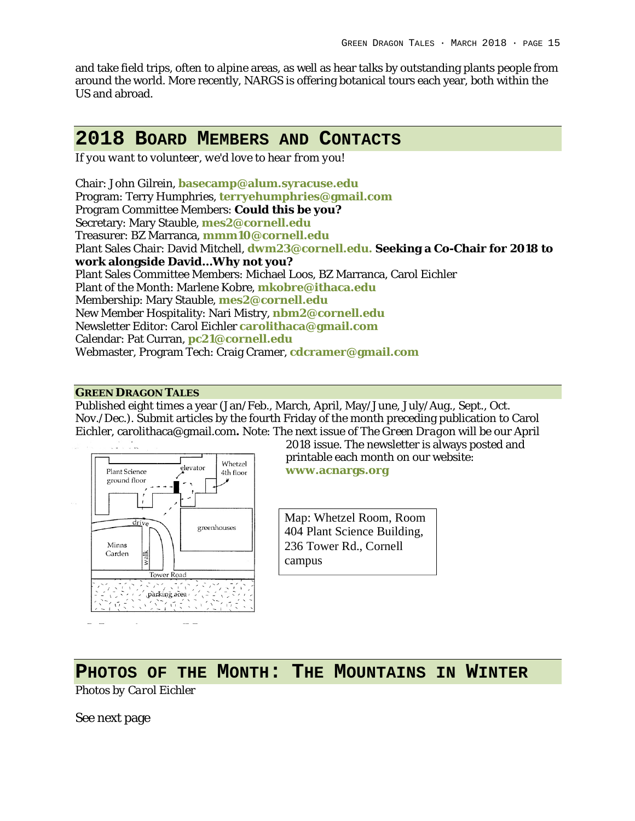and take field trips, often to alpine areas, as well as hear talks by outstanding plants people from around the world. More recently, NARGS is offering botanical tours each year, both within the US and abroad.

## **2018 BOARD MEMBERS AND CONTACTS**

*If you want to volunteer, we'd love to hear from you!*

Chair: John Gilrein, **basecamp@alum.syracuse.edu** Program: Terry Humphries, **terryehumphries@gmail.com** Program Committee Members: **Could this be you?** Secretary: Mary Stauble, **mes2@cornell.edu** Treasurer: BZ Marranca, **mmm10@cornell.edu** Plant Sales Chair: David Mitchell, **dwm23@cornell.edu. Seeking a Co-Chair for 2018 to work alongside David…Why not you?** Plant Sales Committee Members: Michael Loos, BZ Marranca, Carol Eichler Plant of the Month: Marlene Kobre, **mkobre@ithaca.edu** Membership: Mary Stauble, **mes2@cornell.edu** New Member Hospitality: Nari Mistry, **nbm2@cornell.edu** Newsletter Editor: Carol Eichler **carolithaca@gmail.com** Calendar: Pat Curran, **pc21@cornell.edu** Webmaster, Program Tech: Craig Cramer, **cdcramer@gmail.com**

#### **GREEN DRAGON TALES**

Published eight times a year (Jan/Feb., March, April, May/June, July/Aug., Sept., Oct. Nov./Dec.). Submit articles by the fourth Friday of the month preceding publication to Carol Eichler, carolithaca@gmail.com**.** Note: The next issue of *The Green Dragon* will be our April



2018 issue. The newsletter is always posted and printable each month on our website: **www.acnargs.org**

Map: Whetzel Room, Room 404 Plant Science Building, 236 Tower Rd., Cornell campus

**PHOTOS OF THE MONTH: THE MOUNTAINS IN WINTER** *Photos by Carol Eichler*

See next page